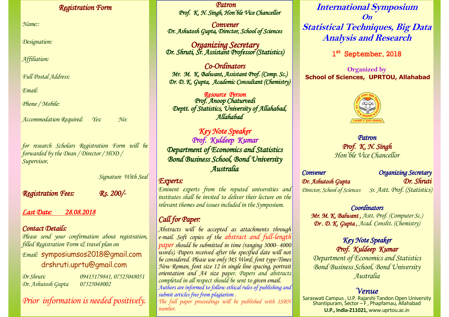#### *Registration Form*

*Name::*

*Designation:*

*Affiliation:*

*Full Postal Address:*

*Email:*

*Phone / Mobile:*

*Accommodation Required: Yes: No:*

*for research Scholars Registration Form will be forwarded by the Dean / Director / HOD / Supervisor.* 

*Registration Fees: Rs. 200/-* 

*Signature With Seal*

*Last Date: 28.08.2018*

# *Contact Details:*

*Please send your confirmation about registration, filled Registration Form & travel plan on Email:* symposiumsos2018@gmail.com drshruti.uprtu@gmail.com

*Dr. Ashutosh Gupta 07525048002*

*Dr Shruti: 09415179841, 07525048051*

*Prior information is needed positively.*

*Patron Prof. K. N. Singh, Hon'ble Vice Chancellor* 

*Convener Dr. Ashutosh Gupta, Director, School of Sciences* 

*Organizing Secretary Dr. Shruti, Sr. Assistant Professor (Statistics)* 

 *Co-Ordinators Mr. M. K. Balwant, Assistant Prof. (Comp. Sc.) Dr. D. K. Gupta, Academic Consultant (Chemistry)* 

 *Resource Person Prof. Anoop Chaturvedi Deptt. of Statistics, University of Allahabad, Allahabad* 

 *Key Note Speaker Prof. Kuldeep Kumar Department of Economics and Statistics Bond Business School, Bond University Australia* 

### *Experts:*

*Eminent experts from the reputed universities and institutes shall be invited to deliver their lecture on the relevant themes and issues included in the Symposium.*

# *Call for Paper:*

*Abstracts will be accepted as attachments through e-mail. Soft copies of the abstract and full-length paper should be submitted in time (ranging 3000- 4000 words). Papers received after the specified date will not be considered. Please use only MS Word; font type-Times New Roman, font size 12 in single line spacing, portrait orientation and A4 size paper. Papers and abstracts completed in all respect should be sent to given email. Authors are informed to follow ethical rules of publishing and submit articles free from plagiarism .*

*The full paper proceedings will be published with ISBN number.*

**International Symposium On Statistical Techniques, Big Data Analysis and Research**

1st September, 2018

**Organized by School of Sciences, UPRTOU, Allahabad**



*Patron Prof. K. N. Singh Hon'ble Vice Chancellor*

*Convener Organizing Secretary Dr. Ashutosh Gupta Dr. Shruti Director, School of Sciences Sr. Astt. Prof. (Statistics)* 

# *Coordinators*

*Mr. M. K. Balwant , Astt. Prof. (Computer Sc.) Dr . D. K. Gupta , Acad. Consltt. (Chemistry)*

> *Key Note Speaker Prof. Kuldeep Kumar*

*Department of Economics and Statistics Bond Business School, Bond University Australia*

# *Venue*

Saraswati Campus , U.P. Rajarshi Tandon Open University Shantipuram, Sector – F , Phapfamau, Allahabad **U.P., India-211021,** www.uprtou.ac.in